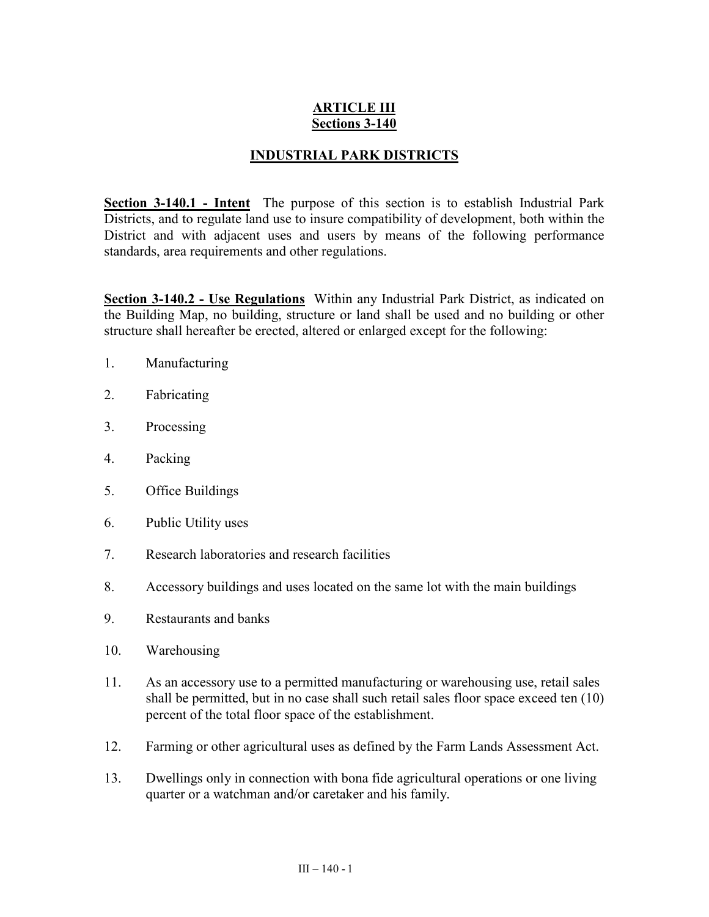# **ARTICLE III Sections 3-140**

## **INDUSTRIAL PARK DISTRICTS**

**Section 3-140.1 - Intent** The purpose of this section is to establish Industrial Park Districts, and to regulate land use to insure compatibility of development, both within the District and with adjacent uses and users by means of the following performance standards, area requirements and other regulations.

**Section 3-140.2 - Use Regulations** Within any Industrial Park District, as indicated on the Building Map, no building, structure or land shall be used and no building or other structure shall hereafter be erected, altered or enlarged except for the following:

- 1. Manufacturing
- 2. Fabricating
- 3. Processing
- 4. Packing
- 5. Office Buildings
- 6. Public Utility uses
- 7. Research laboratories and research facilities
- 8. Accessory buildings and uses located on the same lot with the main buildings
- 9. Restaurants and banks
- 10. Warehousing
- 11. As an accessory use to a permitted manufacturing or warehousing use, retail sales shall be permitted, but in no case shall such retail sales floor space exceed ten (10) percent of the total floor space of the establishment.
- 12. Farming or other agricultural uses as defined by the Farm Lands Assessment Act.
- 13. Dwellings only in connection with bona fide agricultural operations or one living quarter or a watchman and/or caretaker and his family.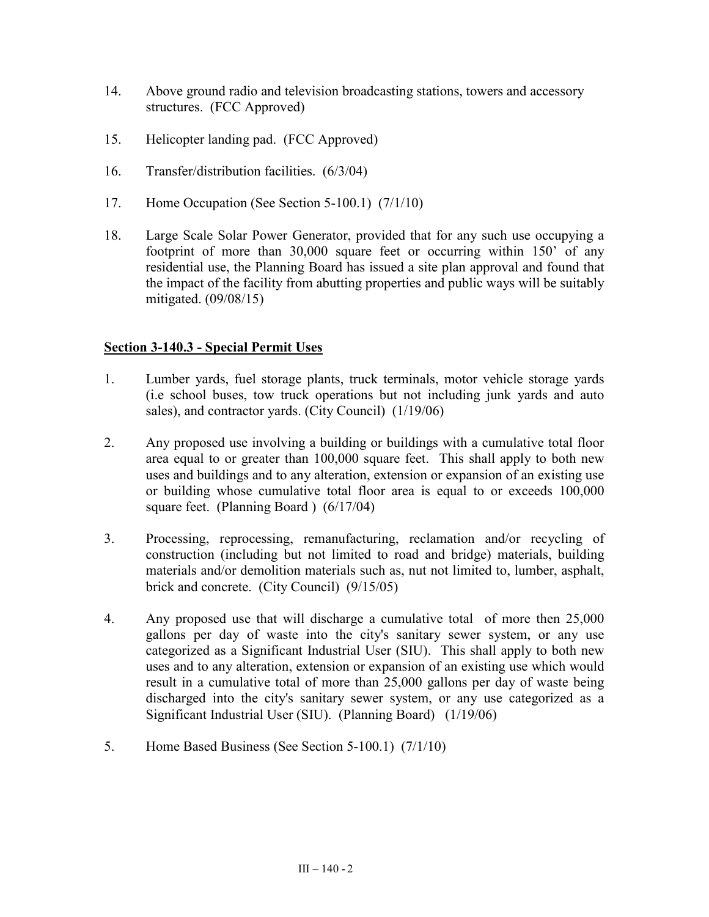- 14. Above ground radio and television broadcasting stations, towers and accessory structures. (FCC Approved)
- 15. Helicopter landing pad. (FCC Approved)
- 16. Transfer/distribution facilities. (6/3/04)
- 17. Home Occupation (See Section 5-100.1) (7/1/10)
- 18. Large Scale Solar Power Generator, provided that for any such use occupying a footprint of more than 30,000 square feet or occurring within 150' of any residential use, the Planning Board has issued a site plan approval and found that the impact of the facility from abutting properties and public ways will be suitably mitigated. (09/08/15)

## **Section 3-140.3 - Special Permit Uses**

- 1. Lumber yards, fuel storage plants, truck terminals, motor vehicle storage yards (i.e school buses, tow truck operations but not including junk yards and auto sales), and contractor yards. (City Council) (1/19/06)
- 2. Any proposed use involving a building or buildings with a cumulative total floor area equal to or greater than 100,000 square feet. This shall apply to both new uses and buildings and to any alteration, extension or expansion of an existing use or building whose cumulative total floor area is equal to or exceeds 100,000 square feet. (Planning Board ) (6/17/04)
- 3. Processing, reprocessing, remanufacturing, reclamation and/or recycling of construction (including but not limited to road and bridge) materials, building materials and/or demolition materials such as, nut not limited to, lumber, asphalt, brick and concrete. (City Council) (9/15/05)
- 4. Any proposed use that will discharge a cumulative total of more then 25,000 gallons per day of waste into the city's sanitary sewer system, or any use categorized as a Significant Industrial User (SIU). This shall apply to both new uses and to any alteration, extension or expansion of an existing use which would result in a cumulative total of more than 25,000 gallons per day of waste being discharged into the city's sanitary sewer system, or any use categorized as a Significant Industrial User (SIU). (Planning Board) (1/19/06)
- 5. Home Based Business (See Section 5-100.1) (7/1/10)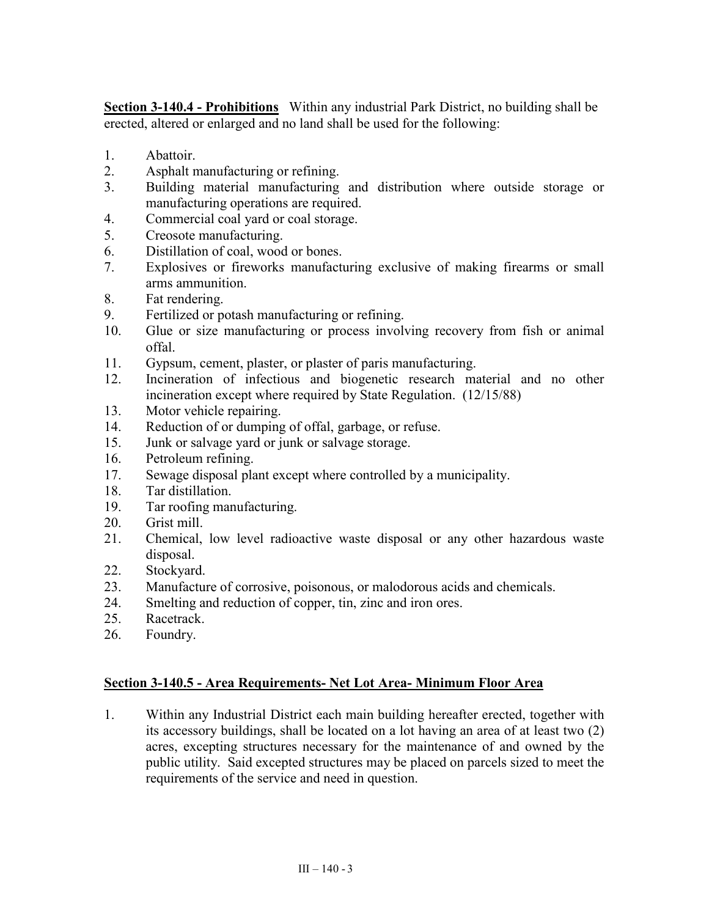**Section 3-140.4 - Prohibitions** Within any industrial Park District, no building shall be erected, altered or enlarged and no land shall be used for the following:

- 1. Abattoir.
- 2. Asphalt manufacturing or refining.
- 3. Building material manufacturing and distribution where outside storage or manufacturing operations are required.
- 4. Commercial coal yard or coal storage.
- 5. Creosote manufacturing.
- 6. Distillation of coal, wood or bones.
- 7. Explosives or fireworks manufacturing exclusive of making firearms or small arms ammunition.
- 8. Fat rendering.
- 9. Fertilized or potash manufacturing or refining.
- 10. Glue or size manufacturing or process involving recovery from fish or animal offal.
- 11. Gypsum, cement, plaster, or plaster of paris manufacturing.
- 12. Incineration of infectious and biogenetic research material and no other incineration except where required by State Regulation. (12/15/88)
- 13. Motor vehicle repairing.
- 14. Reduction of or dumping of offal, garbage, or refuse.
- 15. Junk or salvage yard or junk or salvage storage.
- 16. Petroleum refining.
- 17. Sewage disposal plant except where controlled by a municipality.
- 18. Tar distillation.
- 19. Tar roofing manufacturing.
- 20. Grist mill.
- 21. Chemical, low level radioactive waste disposal or any other hazardous waste disposal.
- 22. Stockyard.
- 23. Manufacture of corrosive, poisonous, or malodorous acids and chemicals.
- 24. Smelting and reduction of copper, tin, zinc and iron ores.
- 25. Racetrack.
- 26. Foundry.

## **Section 3-140.5 - Area Requirements- Net Lot Area- Minimum Floor Area**

1. Within any Industrial District each main building hereafter erected, together with its accessory buildings, shall be located on a lot having an area of at least two (2) acres, excepting structures necessary for the maintenance of and owned by the public utility. Said excepted structures may be placed on parcels sized to meet the requirements of the service and need in question.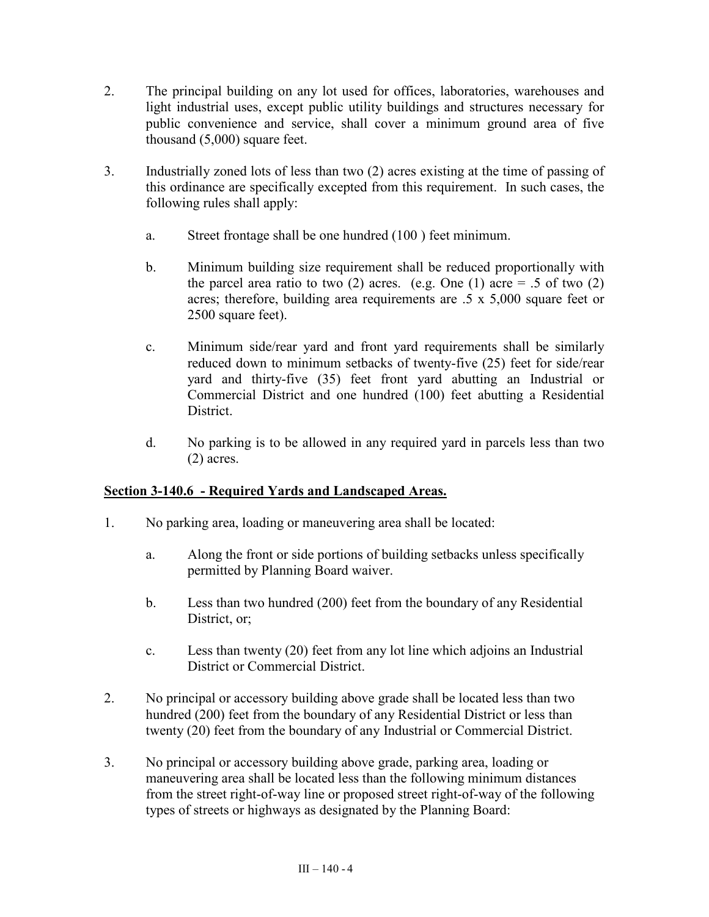- 2. The principal building on any lot used for offices, laboratories, warehouses and light industrial uses, except public utility buildings and structures necessary for public convenience and service, shall cover a minimum ground area of five thousand (5,000) square feet.
- 3. Industrially zoned lots of less than two (2) acres existing at the time of passing of this ordinance are specifically excepted from this requirement. In such cases, the following rules shall apply:
	- a. Street frontage shall be one hundred (100 ) feet minimum.
	- b. Minimum building size requirement shall be reduced proportionally with the parcel area ratio to two (2) acres. (e.g. One (1) acre  $= .5$  of two (2) acres; therefore, building area requirements are .5 x 5,000 square feet or 2500 square feet).
	- c. Minimum side/rear yard and front yard requirements shall be similarly reduced down to minimum setbacks of twenty-five (25) feet for side/rear yard and thirty-five (35) feet front yard abutting an Industrial or Commercial District and one hundred (100) feet abutting a Residential **District**
	- d. No parking is to be allowed in any required yard in parcels less than two (2) acres.

## **Section 3-140.6 - Required Yards and Landscaped Areas.**

- 1. No parking area, loading or maneuvering area shall be located:
	- a. Along the front or side portions of building setbacks unless specifically permitted by Planning Board waiver.
	- b. Less than two hundred (200) feet from the boundary of any Residential District, or;
	- c. Less than twenty (20) feet from any lot line which adjoins an Industrial District or Commercial District.
- 2. No principal or accessory building above grade shall be located less than two hundred (200) feet from the boundary of any Residential District or less than twenty (20) feet from the boundary of any Industrial or Commercial District.
- 3. No principal or accessory building above grade, parking area, loading or maneuvering area shall be located less than the following minimum distances from the street right-of-way line or proposed street right-of-way of the following types of streets or highways as designated by the Planning Board: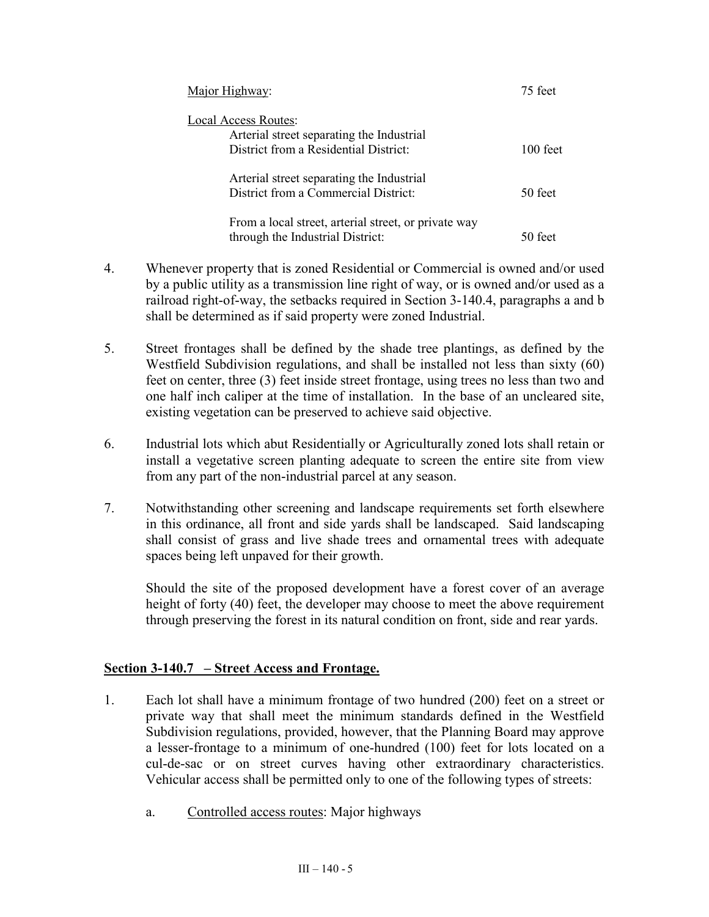| Major Highway:                                                                                                    | 75 feet    |
|-------------------------------------------------------------------------------------------------------------------|------------|
| <b>Local Access Routes:</b><br>Arterial street separating the Industrial<br>District from a Residential District: | $100$ feet |
| Arterial street separating the Industrial<br>District from a Commercial District:                                 | 50 feet    |
| From a local street, arterial street, or private way<br>through the Industrial District:                          | 50 feet    |

- 4. Whenever property that is zoned Residential or Commercial is owned and/or used by a public utility as a transmission line right of way, or is owned and/or used as a railroad right-of-way, the setbacks required in Section 3-140.4, paragraphs a and b shall be determined as if said property were zoned Industrial.
- 5. Street frontages shall be defined by the shade tree plantings, as defined by the Westfield Subdivision regulations, and shall be installed not less than sixty (60) feet on center, three (3) feet inside street frontage, using trees no less than two and one half inch caliper at the time of installation. In the base of an uncleared site, existing vegetation can be preserved to achieve said objective.
- 6. Industrial lots which abut Residentially or Agriculturally zoned lots shall retain or install a vegetative screen planting adequate to screen the entire site from view from any part of the non-industrial parcel at any season.
- 7. Notwithstanding other screening and landscape requirements set forth elsewhere in this ordinance, all front and side yards shall be landscaped. Said landscaping shall consist of grass and live shade trees and ornamental trees with adequate spaces being left unpaved for their growth.

Should the site of the proposed development have a forest cover of an average height of forty (40) feet, the developer may choose to meet the above requirement through preserving the forest in its natural condition on front, side and rear yards.

## **Section 3-140.7 – Street Access and Frontage.**

- 1. Each lot shall have a minimum frontage of two hundred (200) feet on a street or private way that shall meet the minimum standards defined in the Westfield Subdivision regulations, provided, however, that the Planning Board may approve a lesser-frontage to a minimum of one-hundred (100) feet for lots located on a cul-de-sac or on street curves having other extraordinary characteristics. Vehicular access shall be permitted only to one of the following types of streets:
	- a. Controlled access routes: Major highways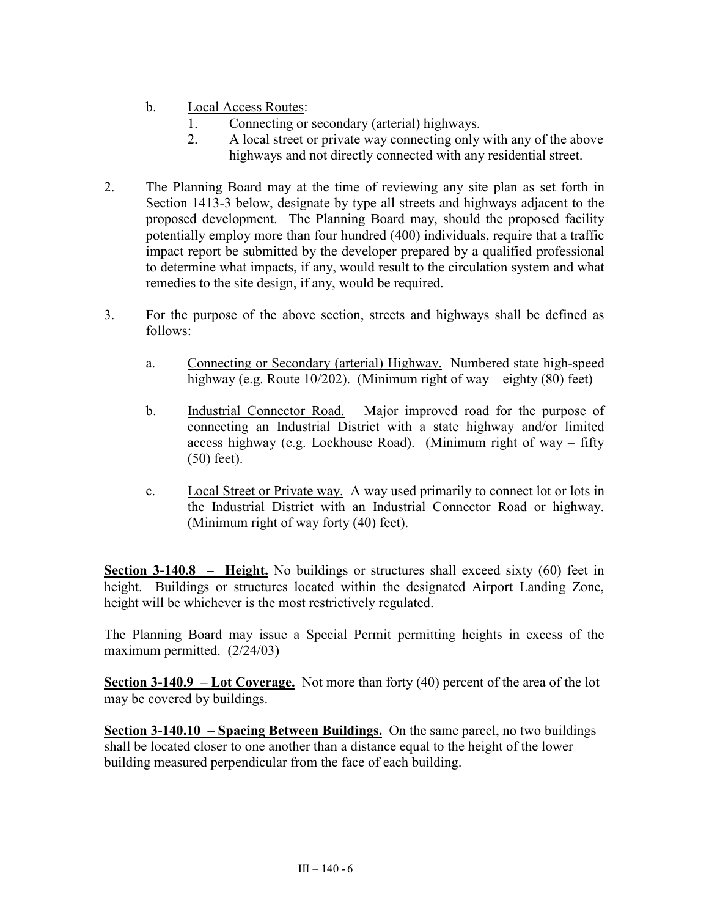- b. Local Access Routes:
	- 1. Connecting or secondary (arterial) highways.
	- 2. A local street or private way connecting only with any of the above highways and not directly connected with any residential street.
- 2. The Planning Board may at the time of reviewing any site plan as set forth in Section 1413-3 below, designate by type all streets and highways adjacent to the proposed development. The Planning Board may, should the proposed facility potentially employ more than four hundred (400) individuals, require that a traffic impact report be submitted by the developer prepared by a qualified professional to determine what impacts, if any, would result to the circulation system and what remedies to the site design, if any, would be required.
- 3. For the purpose of the above section, streets and highways shall be defined as follows:
	- a. Connecting or Secondary (arterial) Highway. Numbered state high-speed highway (e.g. Route 10/202). (Minimum right of way – eighty (80) feet)
	- b. Industrial Connector Road. Major improved road for the purpose of connecting an Industrial District with a state highway and/or limited access highway (e.g. Lockhouse Road). (Minimum right of way – fifty (50) feet).
	- c. Local Street or Private way. A way used primarily to connect lot or lots in the Industrial District with an Industrial Connector Road or highway. (Minimum right of way forty (40) feet).

**Section 3-140.8 – Height.** No buildings or structures shall exceed sixty (60) feet in height. Buildings or structures located within the designated Airport Landing Zone, height will be whichever is the most restrictively regulated.

The Planning Board may issue a Special Permit permitting heights in excess of the maximum permitted. (2/24/03)

**Section 3-140.9 – Lot Coverage.** Not more than forty (40) percent of the area of the lot may be covered by buildings.

**Section 3-140.10 – Spacing Between Buildings.** On the same parcel, no two buildings shall be located closer to one another than a distance equal to the height of the lower building measured perpendicular from the face of each building.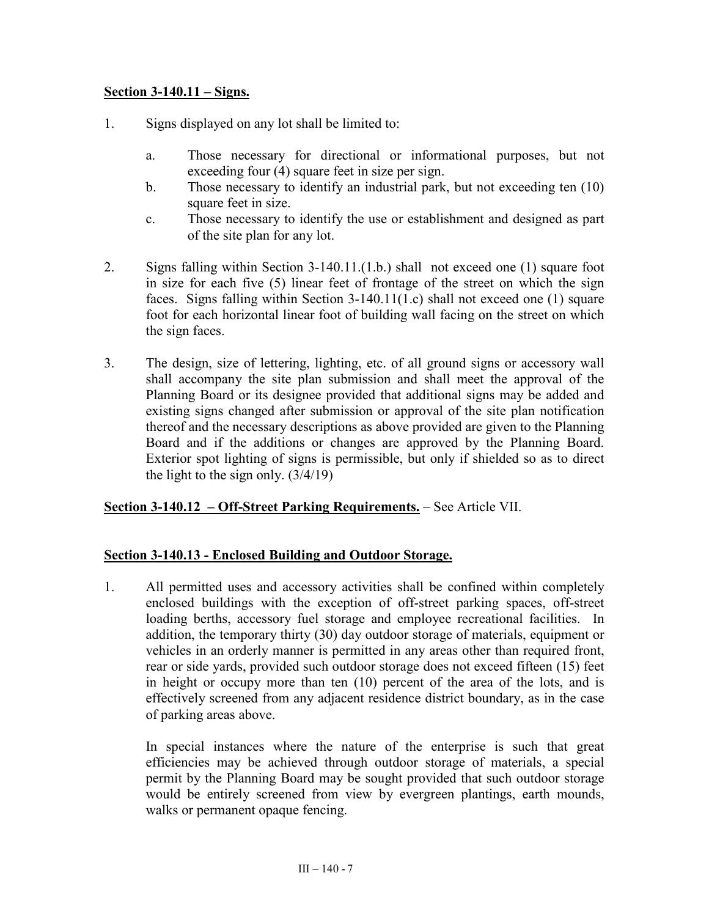#### **Section 3-140.11 – Signs.**

- 1. Signs displayed on any lot shall be limited to:
	- a. Those necessary for directional or informational purposes, but not exceeding four (4) square feet in size per sign.
	- b. Those necessary to identify an industrial park, but not exceeding ten (10) square feet in size.
	- c. Those necessary to identify the use or establishment and designed as part of the site plan for any lot.
- 2. Signs falling within Section 3-140.11.(1.b.) shall not exceed one (1) square foot in size for each five (5) linear feet of frontage of the street on which the sign faces. Signs falling within Section 3-140.11(1.c) shall not exceed one (1) square foot for each horizontal linear foot of building wall facing on the street on which the sign faces.
- 3. The design, size of lettering, lighting, etc. of all ground signs or accessory wall shall accompany the site plan submission and shall meet the approval of the Planning Board or its designee provided that additional signs may be added and existing signs changed after submission or approval of the site plan notification thereof and the necessary descriptions as above provided are given to the Planning Board and if the additions or changes are approved by the Planning Board. Exterior spot lighting of signs is permissible, but only if shielded so as to direct the light to the sign only.  $(3/4/19)$

#### **Section 3-140.12 – Off-Street Parking Requirements.** – See Article VII.

#### **Section 3-140.13 - Enclosed Building and Outdoor Storage.**

1. All permitted uses and accessory activities shall be confined within completely enclosed buildings with the exception of off-street parking spaces, off-street loading berths, accessory fuel storage and employee recreational facilities. In addition, the temporary thirty (30) day outdoor storage of materials, equipment or vehicles in an orderly manner is permitted in any areas other than required front, rear or side yards, provided such outdoor storage does not exceed fifteen (15) feet in height or occupy more than ten (10) percent of the area of the lots, and is effectively screened from any adjacent residence district boundary, as in the case of parking areas above.

In special instances where the nature of the enterprise is such that great efficiencies may be achieved through outdoor storage of materials, a special permit by the Planning Board may be sought provided that such outdoor storage would be entirely screened from view by evergreen plantings, earth mounds, walks or permanent opaque fencing.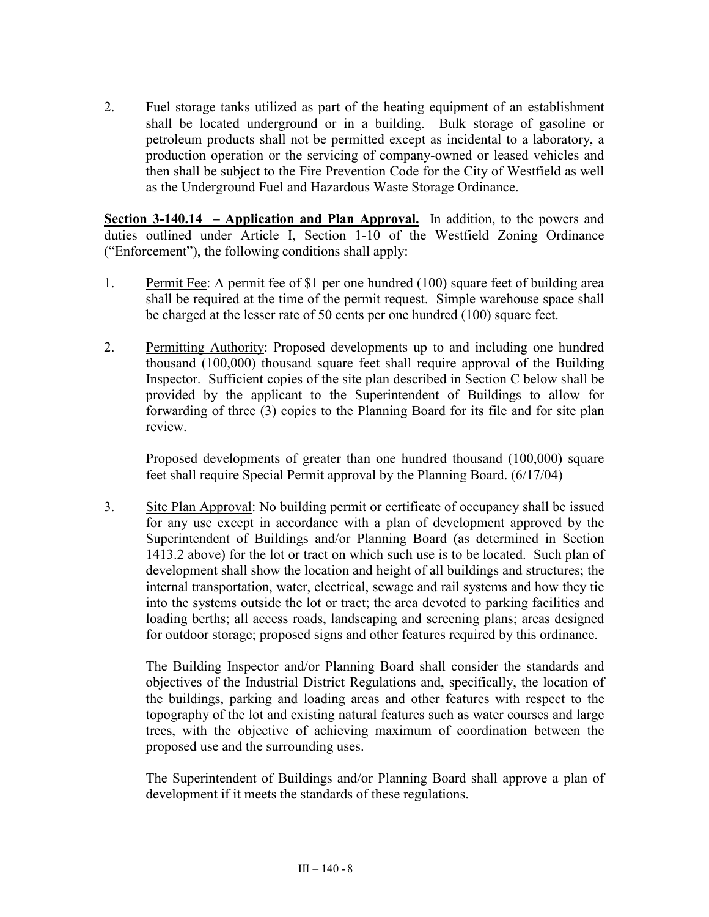2. Fuel storage tanks utilized as part of the heating equipment of an establishment shall be located underground or in a building. Bulk storage of gasoline or petroleum products shall not be permitted except as incidental to a laboratory, a production operation or the servicing of company-owned or leased vehicles and then shall be subject to the Fire Prevention Code for the City of Westfield as well as the Underground Fuel and Hazardous Waste Storage Ordinance.

**Section 3-140.14 – Application and Plan Approval.** In addition, to the powers and duties outlined under Article I, Section 1-10 of the Westfield Zoning Ordinance ("Enforcement"), the following conditions shall apply:

- 1. Permit Fee: A permit fee of \$1 per one hundred (100) square feet of building area shall be required at the time of the permit request. Simple warehouse space shall be charged at the lesser rate of 50 cents per one hundred (100) square feet.
- 2. Permitting Authority: Proposed developments up to and including one hundred thousand (100,000) thousand square feet shall require approval of the Building Inspector. Sufficient copies of the site plan described in Section C below shall be provided by the applicant to the Superintendent of Buildings to allow for forwarding of three (3) copies to the Planning Board for its file and for site plan review.

Proposed developments of greater than one hundred thousand (100,000) square feet shall require Special Permit approval by the Planning Board. (6/17/04)

3. Site Plan Approval: No building permit or certificate of occupancy shall be issued for any use except in accordance with a plan of development approved by the Superintendent of Buildings and/or Planning Board (as determined in Section 1413.2 above) for the lot or tract on which such use is to be located. Such plan of development shall show the location and height of all buildings and structures; the internal transportation, water, electrical, sewage and rail systems and how they tie into the systems outside the lot or tract; the area devoted to parking facilities and loading berths; all access roads, landscaping and screening plans; areas designed for outdoor storage; proposed signs and other features required by this ordinance.

The Building Inspector and/or Planning Board shall consider the standards and objectives of the Industrial District Regulations and, specifically, the location of the buildings, parking and loading areas and other features with respect to the topography of the lot and existing natural features such as water courses and large trees, with the objective of achieving maximum of coordination between the proposed use and the surrounding uses.

The Superintendent of Buildings and/or Planning Board shall approve a plan of development if it meets the standards of these regulations.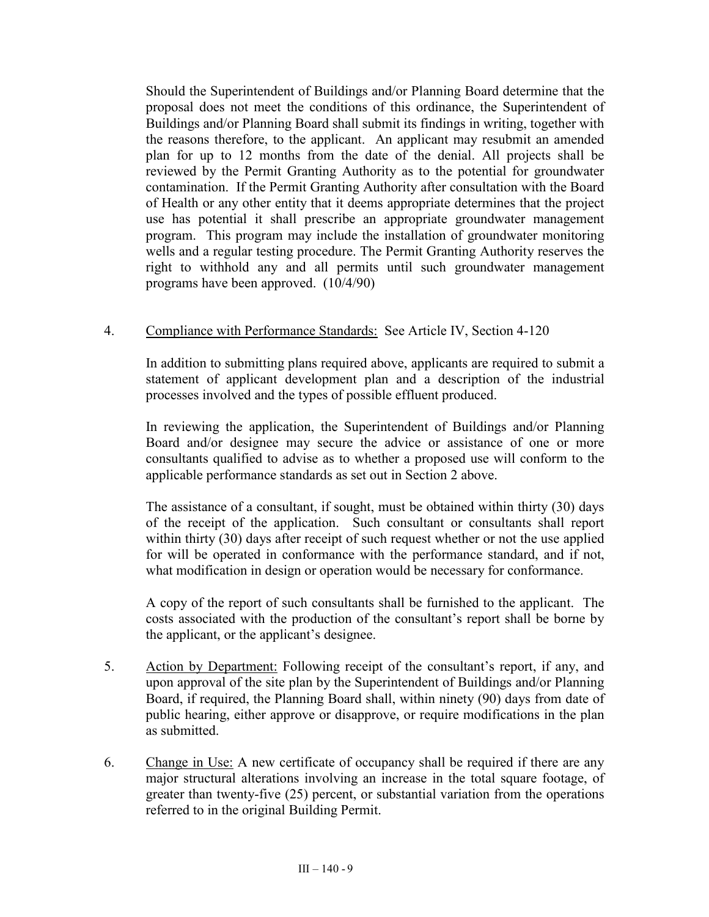Should the Superintendent of Buildings and/or Planning Board determine that the proposal does not meet the conditions of this ordinance, the Superintendent of Buildings and/or Planning Board shall submit its findings in writing, together with the reasons therefore, to the applicant. An applicant may resubmit an amended plan for up to 12 months from the date of the denial. All projects shall be reviewed by the Permit Granting Authority as to the potential for groundwater contamination. If the Permit Granting Authority after consultation with the Board of Health or any other entity that it deems appropriate determines that the project use has potential it shall prescribe an appropriate groundwater management program. This program may include the installation of groundwater monitoring wells and a regular testing procedure. The Permit Granting Authority reserves the right to withhold any and all permits until such groundwater management programs have been approved. (10/4/90)

## 4. Compliance with Performance Standards: See Article IV, Section 4-120

In addition to submitting plans required above, applicants are required to submit a statement of applicant development plan and a description of the industrial processes involved and the types of possible effluent produced.

In reviewing the application, the Superintendent of Buildings and/or Planning Board and/or designee may secure the advice or assistance of one or more consultants qualified to advise as to whether a proposed use will conform to the applicable performance standards as set out in Section 2 above.

The assistance of a consultant, if sought, must be obtained within thirty (30) days of the receipt of the application. Such consultant or consultants shall report within thirty (30) days after receipt of such request whether or not the use applied for will be operated in conformance with the performance standard, and if not, what modification in design or operation would be necessary for conformance.

A copy of the report of such consultants shall be furnished to the applicant. The costs associated with the production of the consultant's report shall be borne by the applicant, or the applicant's designee.

- 5. Action by Department: Following receipt of the consultant's report, if any, and upon approval of the site plan by the Superintendent of Buildings and/or Planning Board, if required, the Planning Board shall, within ninety (90) days from date of public hearing, either approve or disapprove, or require modifications in the plan as submitted.
- 6. Change in Use: A new certificate of occupancy shall be required if there are any major structural alterations involving an increase in the total square footage, of greater than twenty-five (25) percent, or substantial variation from the operations referred to in the original Building Permit.